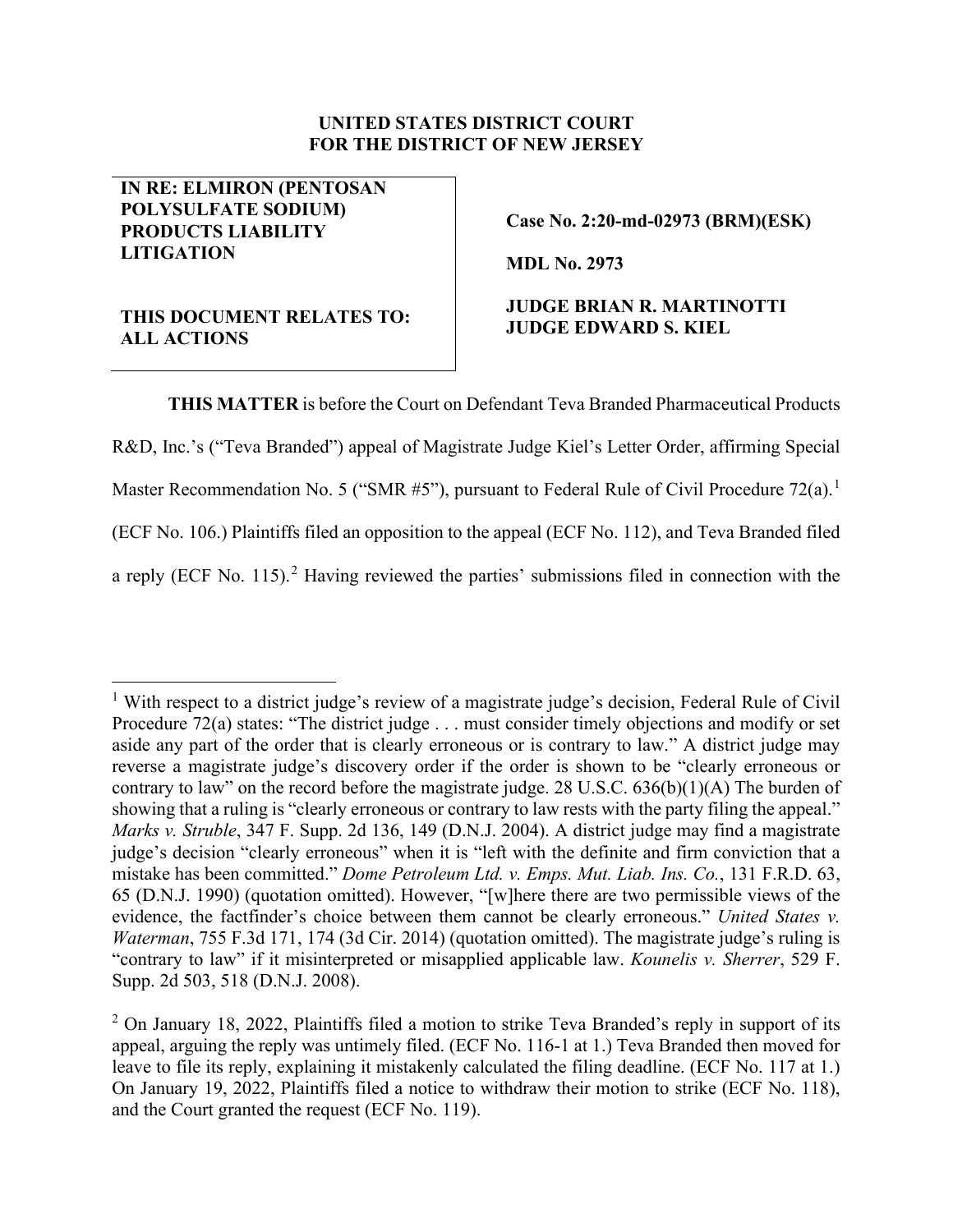#### **UNITED STATES DISTRICT COURT FOR THE DISTRICT OF NEW JERSEY**

### **IN RE: ELMIRON (PENTOSAN POLYSULFATE SODIUM) PRODUCTS LIABILITY LITIGATION**

**Case No. 2:20-md-02973 (BRM)(ESK)**

**MDL No. 2973**

# **THIS DOCUMENT RELATES TO: ALL ACTIONS**

## **JUDGE BRIAN R. MARTINOTTI JUDGE EDWARD S. KIEL**

**THIS MATTER** is before the Court on Defendant Teva Branded Pharmaceutical Products R&D, Inc.'s ("Teva Branded") appeal of Magistrate Judge Kiel's Letter Order, affirming Special Master Recommendation No. 5 ("SMR #5"), pursuant to Federal Rule of Civil Procedure 72(a).<sup>[1](#page-0-0)</sup> (ECF No. 106.) Plaintiffs filed an opposition to the appeal (ECF No. 112), and Teva Branded filed a reply (ECF No. 115).<sup>[2](#page-0-1)</sup> Having reviewed the parties' submissions filed in connection with the

<span id="page-0-0"></span><sup>&</sup>lt;sup>1</sup> With respect to a district judge's review of a magistrate judge's decision, Federal Rule of Civil Procedure 72(a) states: "The district judge . . . must consider timely objections and modify or set aside any part of the order that is clearly erroneous or is contrary to law." A district judge may reverse a magistrate judge's discovery order if the order is shown to be "clearly erroneous or contrary to law" on the record before the magistrate judge. 28 U.S.C. 636(b)(1)(A) The burden of showing that a ruling is "clearly erroneous or contrary to law rests with the party filing the appeal." *Marks v. Struble*, 347 F. Supp. 2d 136, 149 (D.N.J. 2004). A district judge may find a magistrate judge's decision "clearly erroneous" when it is "left with the definite and firm conviction that a mistake has been committed." *Dome Petroleum Ltd. v. Emps. Mut. Liab. Ins. Co.*, 131 F.R.D. 63, 65 (D.N.J. 1990) (quotation omitted). However, "[w]here there are two permissible views of the evidence, the factfinder's choice between them cannot be clearly erroneous." *United States v. Waterman*, 755 F.3d 171, 174 (3d Cir. 2014) (quotation omitted). The magistrate judge's ruling is "contrary to law" if it misinterpreted or misapplied applicable law. *Kounelis v. Sherrer*, 529 F. Supp. 2d 503, 518 (D.N.J. 2008).

<span id="page-0-1"></span> $2$  On January 18, 2022, Plaintiffs filed a motion to strike Teva Branded's reply in support of its appeal, arguing the reply was untimely filed. (ECF No. 116-1 at 1.) Teva Branded then moved for leave to file its reply, explaining it mistakenly calculated the filing deadline. (ECF No. 117 at 1.) On January 19, 2022, Plaintiffs filed a notice to withdraw their motion to strike (ECF No. 118), and the Court granted the request (ECF No. 119).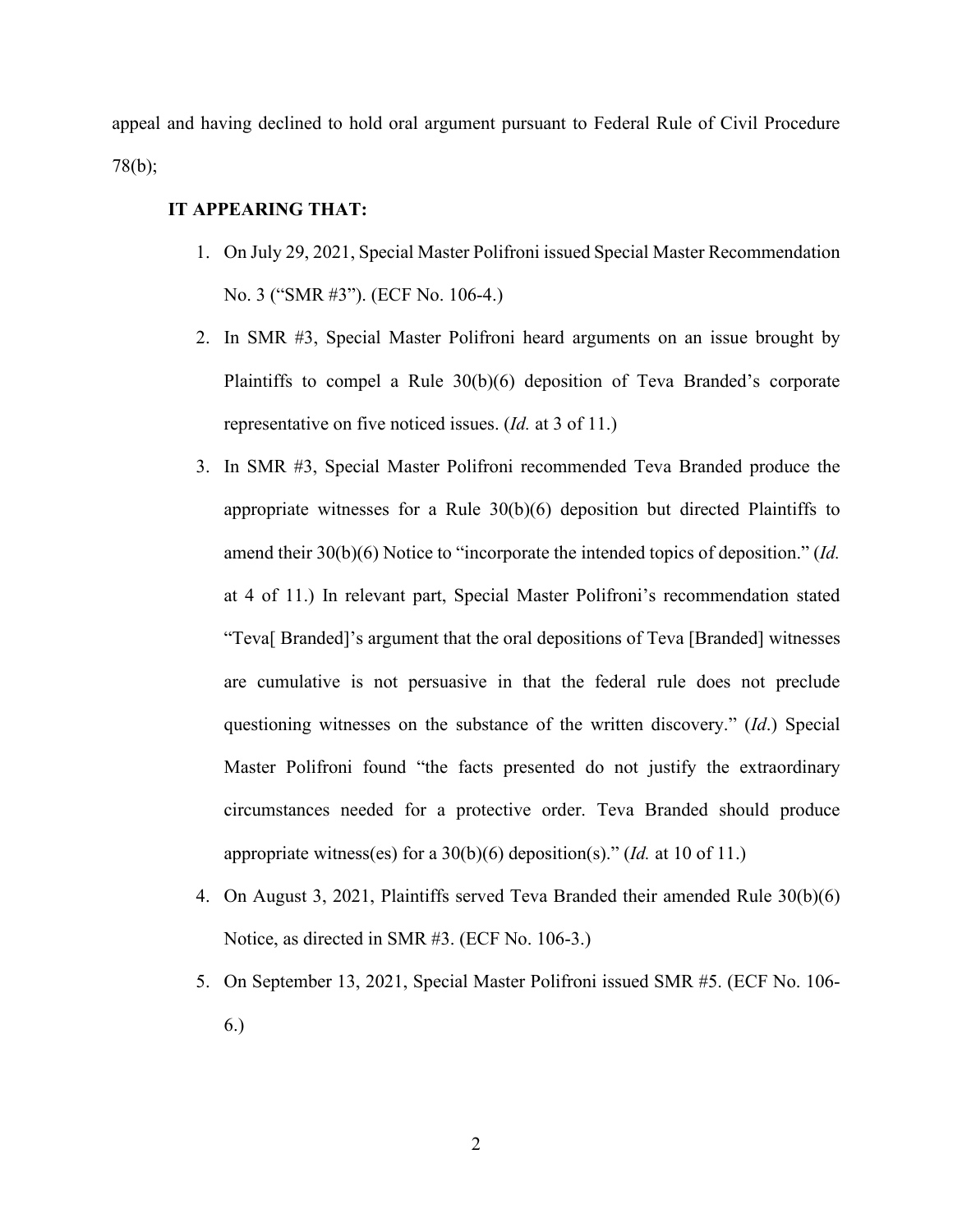appeal and having declined to hold oral argument pursuant to Federal Rule of Civil Procedure 78(b);

## **IT APPEARING THAT:**

- 1. On July 29, 2021, Special Master Polifroni issued Special Master Recommendation No. 3 ("SMR #3"). (ECF No. 106-4.)
- 2. In SMR #3, Special Master Polifroni heard arguments on an issue brought by Plaintiffs to compel a Rule 30(b)(6) deposition of Teva Branded's corporate representative on five noticed issues. (*Id.* at 3 of 11.)
- 3. In SMR #3, Special Master Polifroni recommended Teva Branded produce the appropriate witnesses for a Rule  $30(b)(6)$  deposition but directed Plaintiffs to amend their 30(b)(6) Notice to "incorporate the intended topics of deposition." (*Id.* at 4 of 11.) In relevant part, Special Master Polifroni's recommendation stated "Teva[ Branded]'s argument that the oral depositions of Teva [Branded] witnesses are cumulative is not persuasive in that the federal rule does not preclude questioning witnesses on the substance of the written discovery." (*Id*.) Special Master Polifroni found "the facts presented do not justify the extraordinary circumstances needed for a protective order. Teva Branded should produce appropriate witness(es) for a 30(b)(6) deposition(s)." (*Id.* at 10 of 11.)
- 4. On August 3, 2021, Plaintiffs served Teva Branded their amended Rule 30(b)(6) Notice, as directed in SMR #3. (ECF No. 106-3.)
- 5. On September 13, 2021, Special Master Polifroni issued SMR #5. (ECF No. 106- 6.)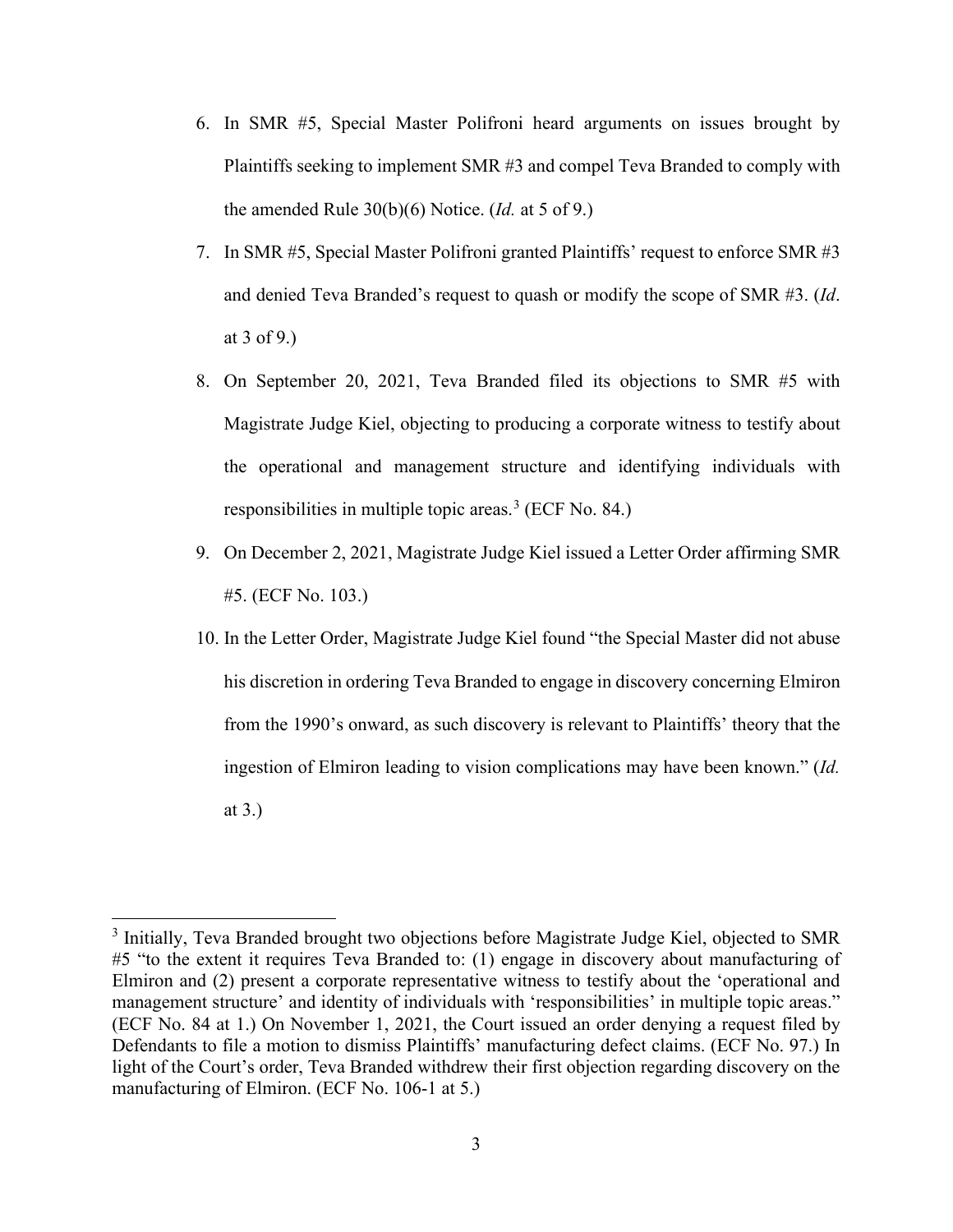- 6. In SMR #5, Special Master Polifroni heard arguments on issues brought by Plaintiffs seeking to implement SMR #3 and compel Teva Branded to comply with the amended Rule 30(b)(6) Notice. (*Id.* at 5 of 9.)
- 7. In SMR #5, Special Master Polifroni granted Plaintiffs' request to enforce SMR #3 and denied Teva Branded's request to quash or modify the scope of SMR #3. (*Id*. at 3 of 9.)
- 8. On September 20, 2021, Teva Branded filed its objections to SMR #5 with Magistrate Judge Kiel, objecting to producing a corporate witness to testify about the operational and management structure and identifying individuals with responsibilities in multiple topic areas. [3](#page-2-0) (ECF No. 84.)
- 9. On December 2, 2021, Magistrate Judge Kiel issued a Letter Order affirming SMR #5. (ECF No. 103.)
- 10. In the Letter Order, Magistrate Judge Kiel found "the Special Master did not abuse his discretion in ordering Teva Branded to engage in discovery concerning Elmiron from the 1990's onward, as such discovery is relevant to Plaintiffs' theory that the ingestion of Elmiron leading to vision complications may have been known." (*Id.* at 3.)

<span id="page-2-0"></span><sup>&</sup>lt;sup>3</sup> Initially, Teva Branded brought two objections before Magistrate Judge Kiel, objected to SMR #5 "to the extent it requires Teva Branded to: (1) engage in discovery about manufacturing of Elmiron and (2) present a corporate representative witness to testify about the 'operational and management structure' and identity of individuals with 'responsibilities' in multiple topic areas." (ECF No. 84 at 1.) On November 1, 2021, the Court issued an order denying a request filed by Defendants to file a motion to dismiss Plaintiffs' manufacturing defect claims. (ECF No. 97.) In light of the Court's order, Teva Branded withdrew their first objection regarding discovery on the manufacturing of Elmiron. (ECF No. 106-1 at 5.)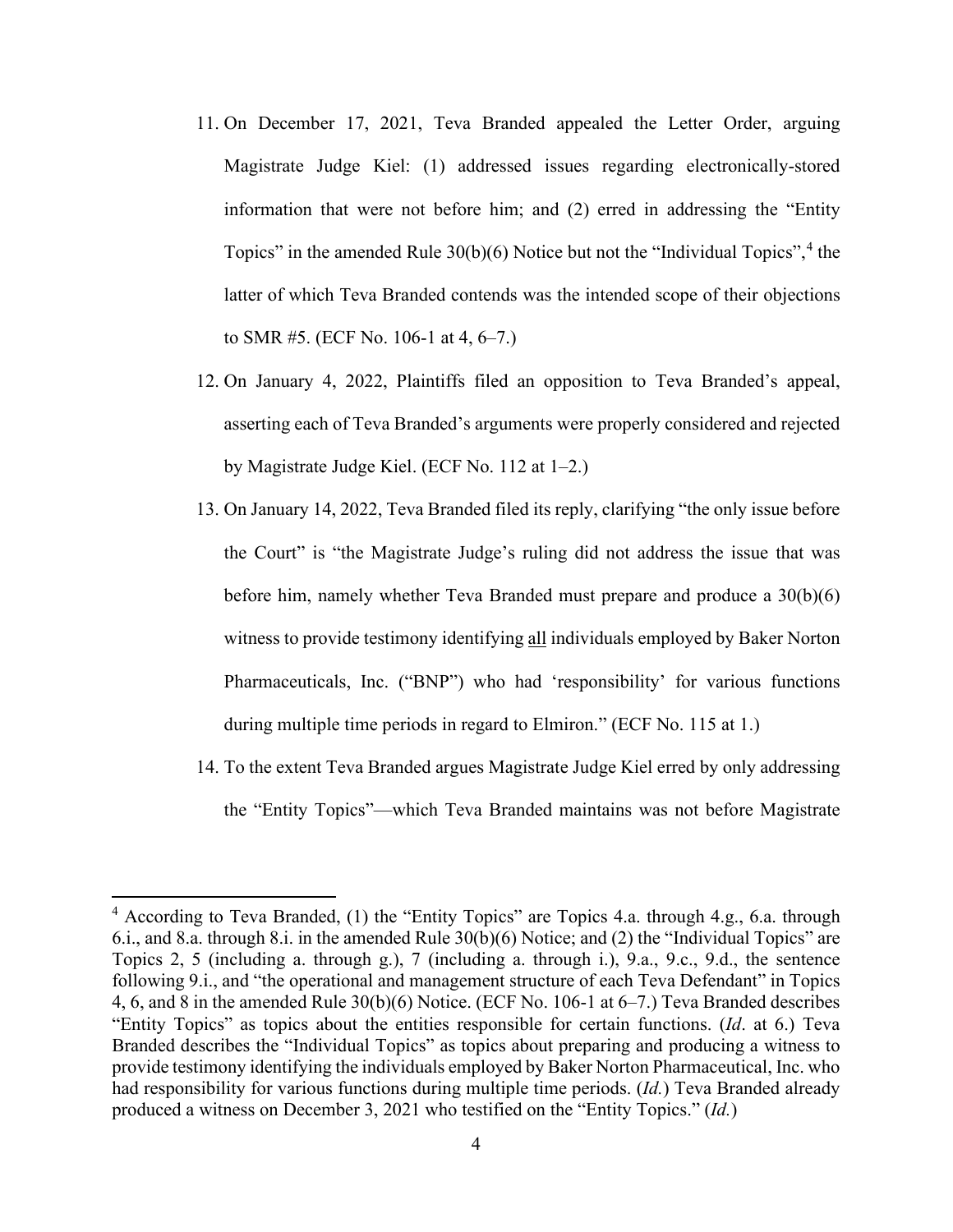- 11. On December 17, 2021, Teva Branded appealed the Letter Order, arguing Magistrate Judge Kiel: (1) addressed issues regarding electronically-stored information that were not before him; and (2) erred in addressing the "Entity Topics" in the amended Rule  $30(b)(6)$  Notice but not the "Individual Topics", <sup>[4](#page-3-0)</sup> the latter of which Teva Branded contends was the intended scope of their objections to SMR #5. (ECF No. 106-1 at 4, 6–7.)
- 12. On January 4, 2022, Plaintiffs filed an opposition to Teva Branded's appeal, asserting each of Teva Branded's arguments were properly considered and rejected by Magistrate Judge Kiel. (ECF No. 112 at 1–2.)
- 13. On January 14, 2022, Teva Branded filed its reply, clarifying "the only issue before the Court" is "the Magistrate Judge's ruling did not address the issue that was before him, namely whether Teva Branded must prepare and produce a 30(b)(6) witness to provide testimony identifying all individuals employed by Baker Norton Pharmaceuticals, Inc. ("BNP") who had 'responsibility' for various functions during multiple time periods in regard to Elmiron." (ECF No. 115 at 1.)
- 14. To the extent Teva Branded argues Magistrate Judge Kiel erred by only addressing the "Entity Topics"—which Teva Branded maintains was not before Magistrate

<span id="page-3-0"></span><sup>&</sup>lt;sup>4</sup> According to Teva Branded, (1) the "Entity Topics" are Topics 4.a. through 4.g., 6.a. through 6.i., and 8.a. through 8.i. in the amended Rule 30(b)(6) Notice; and (2) the "Individual Topics" are Topics 2, 5 (including a. through g.), 7 (including a. through i.), 9.a., 9.c., 9.d., the sentence following 9.i., and "the operational and management structure of each Teva Defendant" in Topics 4, 6, and 8 in the amended Rule 30(b)(6) Notice. (ECF No. 106-1 at 6–7.) Teva Branded describes "Entity Topics" as topics about the entities responsible for certain functions. (*Id*. at 6.) Teva Branded describes the "Individual Topics" as topics about preparing and producing a witness to provide testimony identifying the individuals employed by Baker Norton Pharmaceutical, Inc. who had responsibility for various functions during multiple time periods. (*Id.*) Teva Branded already produced a witness on December 3, 2021 who testified on the "Entity Topics." (*Id.*)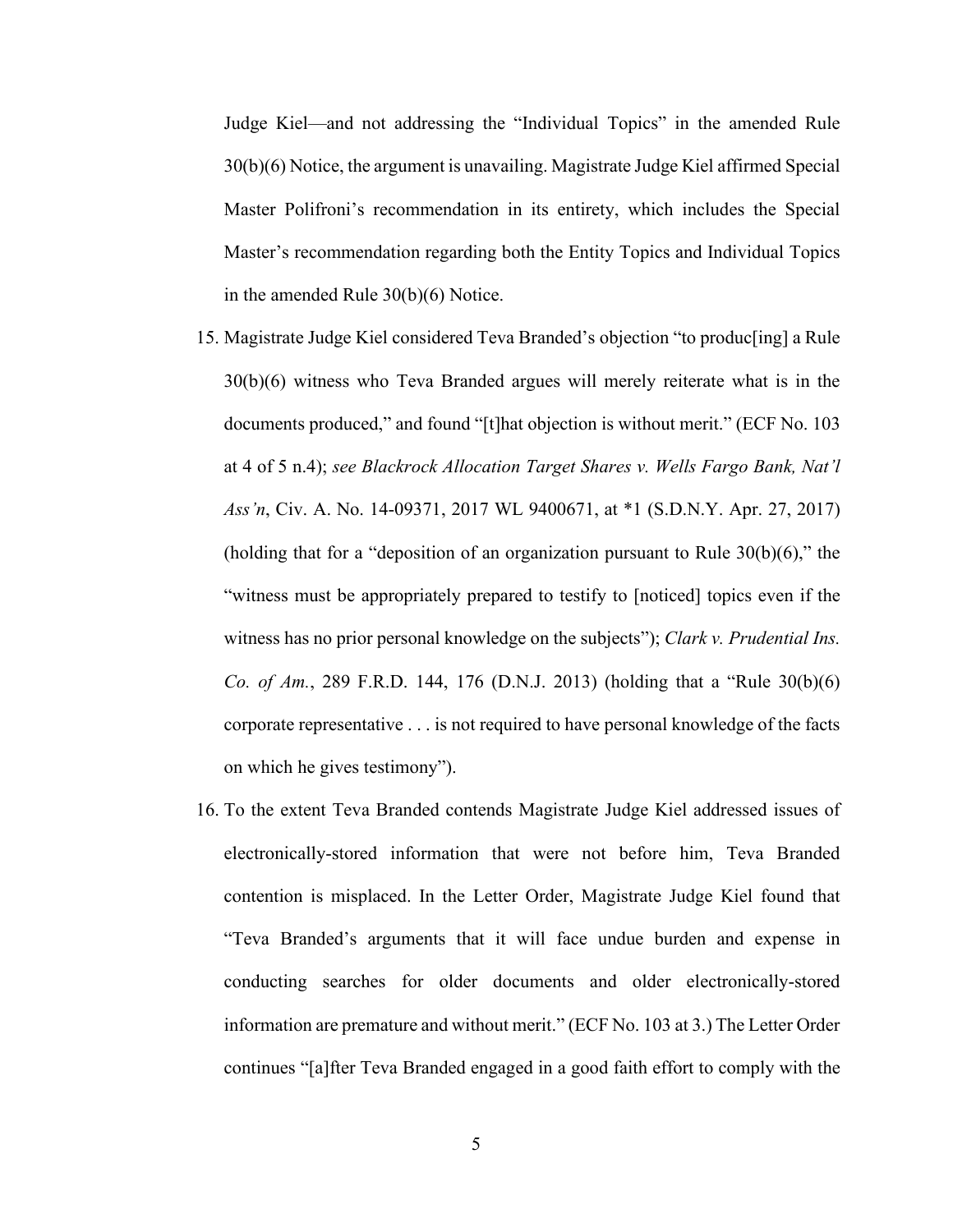Judge Kiel—and not addressing the "Individual Topics" in the amended Rule 30(b)(6) Notice, the argument is unavailing. Magistrate Judge Kiel affirmed Special Master Polifroni's recommendation in its entirety, which includes the Special Master's recommendation regarding both the Entity Topics and Individual Topics in the amended Rule 30(b)(6) Notice.

- 15. Magistrate Judge Kiel considered Teva Branded's objection "to produc[ing] a Rule 30(b)(6) witness who Teva Branded argues will merely reiterate what is in the documents produced," and found "[t]hat objection is without merit." (ECF No. 103 at 4 of 5 n.4); *see Blackrock Allocation Target Shares v. Wells Fargo Bank, Nat'l Ass'n*, Civ. A. No. 14-09371, 2017 WL 9400671, at \*1 (S.D.N.Y. Apr. 27, 2017) (holding that for a "deposition of an organization pursuant to Rule  $30(b)(6)$ ," the "witness must be appropriately prepared to testify to [noticed] topics even if the witness has no prior personal knowledge on the subjects"); *Clark v. Prudential Ins. Co. of Am.*, 289 F.R.D. 144, 176 (D.N.J. 2013) (holding that a "Rule 30(b)(6) corporate representative . . . is not required to have personal knowledge of the facts on which he gives testimony").
- 16. To the extent Teva Branded contends Magistrate Judge Kiel addressed issues of electronically-stored information that were not before him, Teva Branded contention is misplaced. In the Letter Order, Magistrate Judge Kiel found that "Teva Branded's arguments that it will face undue burden and expense in conducting searches for older documents and older electronically-stored information are premature and without merit." (ECF No. 103 at 3.) The Letter Order continues "[a]fter Teva Branded engaged in a good faith effort to comply with the